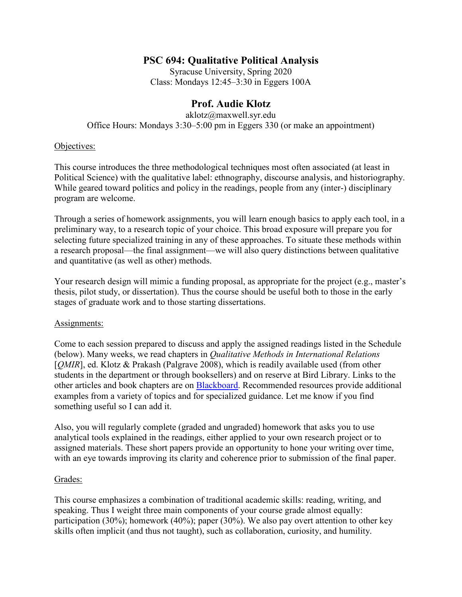## **PSC 694: Qualitative Political Analysis**

Syracuse University, Spring 2020 Class: Mondays 12:45–3:30 in Eggers 100A

# **Prof. Audie Klotz**

aklotz@maxwell.syr.edu Office Hours: Mondays 3:30–5:00 pm in Eggers 330 (or make an appointment)

## Objectives:

This course introduces the three methodological techniques most often associated (at least in Political Science) with the qualitative label: ethnography, discourse analysis, and historiography. While geared toward politics and policy in the readings, people from any (inter-) disciplinary program are welcome.

Through a series of homework assignments, you will learn enough basics to apply each tool, in a preliminary way, to a research topic of your choice. This broad exposure will prepare you for selecting future specialized training in any of these approaches. To situate these methods within a research proposal—the final assignment—we will also query distinctions between qualitative and quantitative (as well as other) methods.

Your research design will mimic a funding proposal, as appropriate for the project (e.g., master's thesis, pilot study, or dissertation). Thus the course should be useful both to those in the early stages of graduate work and to those starting dissertations.

## Assignments:

Come to each session prepared to discuss and apply the assigned readings listed in the Schedule (below). Many weeks, we read chapters in *Qualitative Methods in International Relations* [*QMIR*], ed. Klotz & Prakash (Palgrave 2008), which is readily available used (from other students in the department or through booksellers) and on reserve at Bird Library. Links to the other articles and book chapters are on **Blackboard**. Recommended resources provide additional examples from a variety of topics and for specialized guidance. Let me know if you find something useful so I can add it.

Also, you will regularly complete (graded and ungraded) homework that asks you to use analytical tools explained in the readings, either applied to your own research project or to assigned materials. These short papers provide an opportunity to hone your writing over time, with an eye towards improving its clarity and coherence prior to submission of the final paper.

### Grades:

This course emphasizes a combination of traditional academic skills: reading, writing, and speaking. Thus I weight three main components of your course grade almost equally: participation (30%); homework (40%); paper (30%). We also pay overt attention to other key skills often implicit (and thus not taught), such as collaboration, curiosity, and humility.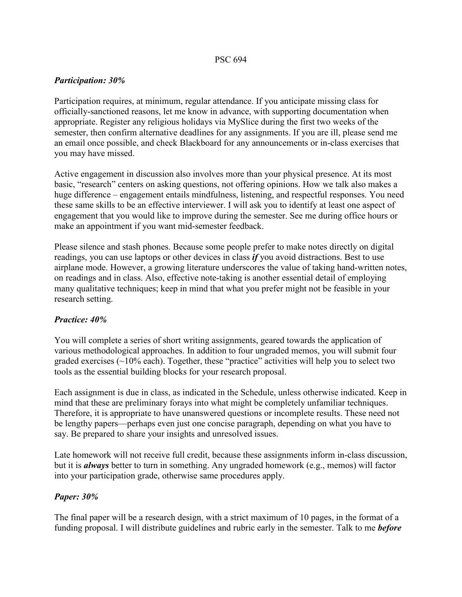## *Participation: 30%*

Participation requires, at minimum, regular attendance. If you anticipate missing class for officially-sanctioned reasons, let me know in advance, with supporting documentation when appropriate. Register any religious holidays via MySlice during the first two weeks of the semester, then confirm alternative deadlines for any assignments. If you are ill, please send me an email once possible, and check Blackboard for any announcements or in-class exercises that you may have missed.

Active engagement in discussion also involves more than your physical presence. At its most basic, "research" centers on asking questions, not offering opinions. How we talk also makes a huge difference – engagement entails mindfulness, listening, and respectful responses. You need these same skills to be an effective interviewer. I will ask you to identify at least one aspect of engagement that you would like to improve during the semester. See me during office hours or make an appointment if you want mid-semester feedback.

Please silence and stash phones. Because some people prefer to make notes directly on digital readings, you can use laptops or other devices in class *if* you avoid distractions. Best to use airplane mode. However, a growing literature underscores the value of taking hand-written notes, on readings and in class. Also, effective note-taking is another essential detail of employing many qualitative techniques; keep in mind that what you prefer might not be feasible in your research setting.

## *Practice: 40%*

You will complete a series of short writing assignments, geared towards the application of various methodological approaches. In addition to four ungraded memos, you will submit four graded exercises  $(\sim 10\%$  each). Together, these "practice" activities will help you to select two tools as the essential building blocks for your research proposal.

Each assignment is due in class, as indicated in the Schedule, unless otherwise indicated. Keep in mind that these are preliminary forays into what might be completely unfamiliar techniques. Therefore, it is appropriate to have unanswered questions or incomplete results. These need not be lengthy papers—perhaps even just one concise paragraph, depending on what you have to say. Be prepared to share your insights and unresolved issues.

Late homework will not receive full credit, because these assignments inform in-class discussion, but it is *always* better to turn in something. Any ungraded homework (e.g., memos) will factor into your participation grade, otherwise same procedures apply.

### *Paper: 30%*

The final paper will be a research design, with a strict maximum of 10 pages, in the format of a funding proposal. I will distribute guidelines and rubric early in the semester. Talk to me *before*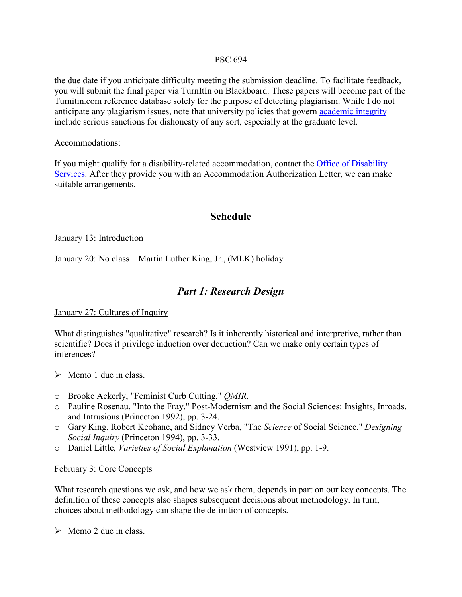the due date if you anticipate difficulty meeting the submission deadline. To facilitate feedback, you will submit the final paper via TurnItIn on Blackboard. These papers will become part of the Turnitin.com reference database solely for the purpose of detecting plagiarism. While I do not anticipate any plagiarism issues, note that university policies that govern [academic integrity](https://class.syr.edu/academic-integrity/policy/) include serious sanctions for dishonesty of any sort, especially at the graduate level.

### Accommodations:

If you might qualify for a disability-related accommodation, contact the [Office of Disability](https://disabilityservices.syr.edu/)  [Services.](https://disabilityservices.syr.edu/) After they provide you with an Accommodation Authorization Letter, we can make suitable arrangements.

## **Schedule**

January 13: Introduction

January 20: No class—Martin Luther King, Jr., (MLK) holiday

# *Part 1: Research Design*

### January 27: Cultures of Inquiry

What distinguishes "qualitative" research? Is it inherently historical and interpretive, rather than scientific? Does it privilege induction over deduction? Can we make only certain types of inferences?

- $\triangleright$  Memo 1 due in class.
- o Brooke Ackerly, "Feminist Curb Cutting," *QMIR*.
- o Pauline Rosenau, "Into the Fray," Post-Modernism and the Social Sciences: Insights, Inroads, and Intrusions (Princeton 1992), pp. 3-24.
- o Gary King, Robert Keohane, and Sidney Verba, "The *Science* of Social Science," *Designing Social Inquiry* (Princeton 1994), pp. 3-33.
- o Daniel Little, *Varieties of Social Explanation* (Westview 1991), pp. 1-9.

### February 3: Core Concepts

What research questions we ask, and how we ask them, depends in part on our key concepts. The definition of these concepts also shapes subsequent decisions about methodology. In turn, choices about methodology can shape the definition of concepts.

 $\triangleright$  Memo 2 due in class.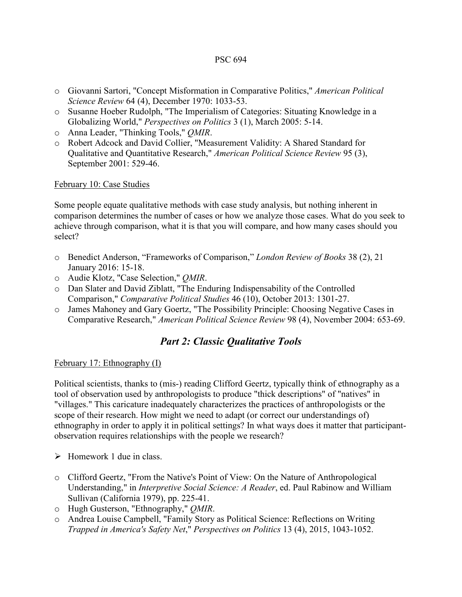- o Giovanni Sartori, "Concept Misformation in Comparative Politics," *American Political Science Review* 64 (4), December 1970: 1033-53.
- o Susanne Hoeber Rudolph, "The Imperialism of Categories: Situating Knowledge in a Globalizing World," *Perspectives on Politics* 3 (1), March 2005: 5-14.
- o Anna Leader, "Thinking Tools," *QMIR*.
- o Robert Adcock and David Collier, "Measurement Validity: A Shared Standard for Qualitative and Quantitative Research," *American Political Science Review* 95 (3), September 2001: 529-46.

## February 10: Case Studies

Some people equate qualitative methods with case study analysis, but nothing inherent in comparison determines the number of cases or how we analyze those cases. What do you seek to achieve through comparison, what it is that you will compare, and how many cases should you select?

- o Benedict Anderson, "Frameworks of Comparison," *London Review of Books* 38 (2), 21 January 2016: 15-18.
- o Audie Klotz, "Case Selection," *QMIR*.
- o Dan Slater and David Ziblatt, "The Enduring Indispensability of the Controlled Comparison," *Comparative Political Studies* 46 (10), October 2013: 1301-27.
- o James Mahoney and Gary Goertz, "The Possibility Principle: Choosing Negative Cases in Comparative Research," *American Political Science Review* 98 (4), November 2004: 653-69.

# *Part 2: Classic Qualitative Tools*

February 17: Ethnography (I)

Political scientists, thanks to (mis-) reading Clifford Geertz, typically think of ethnography as a tool of observation used by anthropologists to produce "thick descriptions" of "natives" in "villages." This caricature inadequately characterizes the practices of anthropologists or the scope of their research. How might we need to adapt (or correct our understandings of) ethnography in order to apply it in political settings? In what ways does it matter that participantobservation requires relationships with the people we research?

- $\triangleright$  Homework 1 due in class.
- o Clifford Geertz, "From the Native's Point of View: On the Nature of Anthropological Understanding," in *Interpretive Social Science: A Reader*, ed. Paul Rabinow and William Sullivan (California 1979), pp. 225-41.
- o Hugh Gusterson, "Ethnography," *QMIR*.
- o Andrea Louise Campbell, "Family Story as Political Science: Reflections on Writing *Trapped in America's Safety Net*," *Perspectives on Politics* 13 (4), 2015, 1043-1052.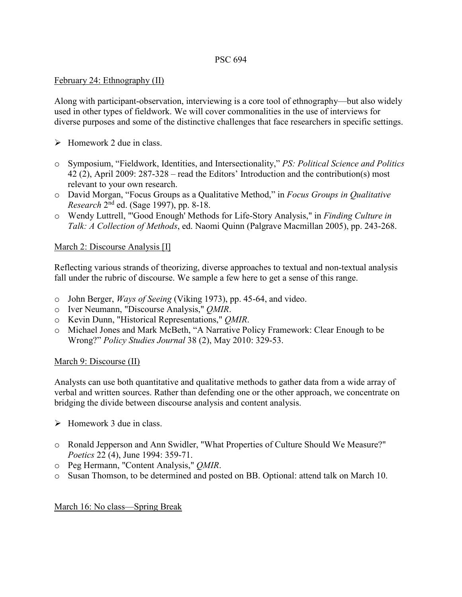## February 24: Ethnography (II)

Along with participant-observation, interviewing is a core tool of ethnography—but also widely used in other types of fieldwork. We will cover commonalities in the use of interviews for diverse purposes and some of the distinctive challenges that face researchers in specific settings.

- $\triangleright$  Homework 2 due in class.
- o Symposium, "Fieldwork, Identities, and Intersectionality," *PS: Political Science and Politics* 42 (2), April 2009: 287-328 – read the Editors' Introduction and the contribution(s) most relevant to your own research.
- o David Morgan, "Focus Groups as a Qualitative Method," in *Focus Groups in Qualitative Research* 2nd ed. (Sage 1997), pp. 8-18.
- o Wendy Luttrell, "'Good Enough' Methods for Life-Story Analysis," in *Finding Culture in Talk: A Collection of Methods*, ed. Naomi Quinn (Palgrave Macmillan 2005), pp. 243-268.

## March 2: Discourse Analysis [I]

Reflecting various strands of theorizing, diverse approaches to textual and non-textual analysis fall under the rubric of discourse. We sample a few here to get a sense of this range.

- o John Berger, *Ways of Seeing* (Viking 1973), pp. 45-64, and video.
- o Iver Neumann, "Discourse Analysis," *QMIR*.
- o Kevin Dunn, "Historical Representations," *QMIR*.
- o Michael Jones and Mark McBeth, "A Narrative Policy Framework: Clear Enough to be Wrong?" *Policy Studies Journal* 38 (2), May 2010: 329-53.

### March 9: Discourse (II)

Analysts can use both quantitative and qualitative methods to gather data from a wide array of verbal and written sources. Rather than defending one or the other approach, we concentrate on bridging the divide between discourse analysis and content analysis.

- $\triangleright$  Homework 3 due in class.
- o Ronald Jepperson and Ann Swidler, "What Properties of Culture Should We Measure?" *Poetics* 22 (4), June 1994: 359-71.
- o Peg Hermann, "Content Analysis," *QMIR*.
- o Susan Thomson, to be determined and posted on BB. Optional: attend talk on March 10.

### March 16: No class—Spring Break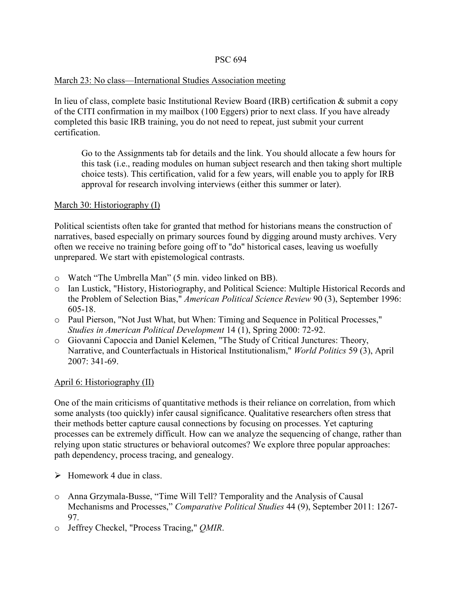## March 23: No class—International Studies Association meeting

In lieu of class, complete basic Institutional Review Board (IRB) certification & submit a copy of the CITI confirmation in my mailbox (100 Eggers) prior to next class. If you have already completed this basic IRB training, you do not need to repeat, just submit your current certification.

Go to the Assignments tab for details and the link. You should allocate a few hours for this task (i.e., reading modules on human subject research and then taking short multiple choice tests). This certification, valid for a few years, will enable you to apply for IRB approval for research involving interviews (either this summer or later).

## March 30: Historiography (I)

Political scientists often take for granted that method for historians means the construction of narratives, based especially on primary sources found by digging around musty archives. Very often we receive no training before going off to "do" historical cases, leaving us woefully unprepared. We start with epistemological contrasts.

- o Watch "The Umbrella Man" (5 min. video linked on BB).
- o Ian Lustick, "History, Historiography, and Political Science: Multiple Historical Records and the Problem of Selection Bias," *American Political Science Review* 90 (3), September 1996: 605-18.
- o Paul Pierson, "Not Just What, but When: Timing and Sequence in Political Processes," *Studies in American Political Development* 14 (1), Spring 2000: 72-92.
- o Giovanni Capoccia and Daniel Kelemen, "The Study of Critical Junctures: Theory, Narrative, and Counterfactuals in Historical Institutionalism," *World Politics* 59 (3), April 2007: 341-69.

## April 6: Historiography (II)

One of the main criticisms of quantitative methods is their reliance on correlation, from which some analysts (too quickly) infer causal significance. Qualitative researchers often stress that their methods better capture causal connections by focusing on processes. Yet capturing processes can be extremely difficult. How can we analyze the sequencing of change, rather than relying upon static structures or behavioral outcomes? We explore three popular approaches: path dependency, process tracing, and genealogy.

- $\triangleright$  Homework 4 due in class.
- o Anna Grzymala-Busse, "Time Will Tell? Temporality and the Analysis of Causal Mechanisms and Processes," *Comparative Political Studies* 44 (9), September 2011: 1267- 97.
- o Jeffrey Checkel, "Process Tracing," *QMIR*.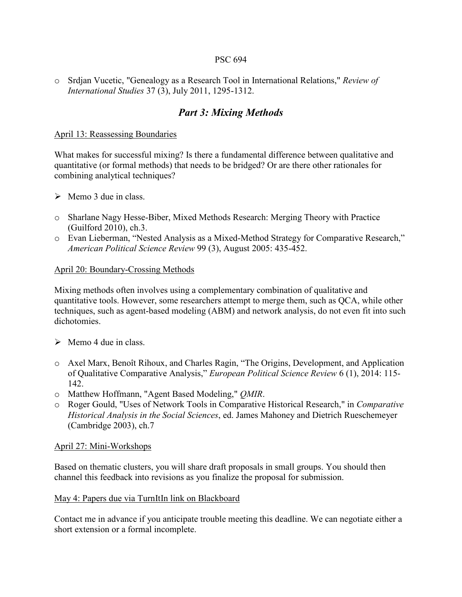o Srdjan Vucetic, "Genealogy as a Research Tool in International Relations," *Review of International Studies* 37 (3), July 2011, 1295-1312.

# *Part 3: Mixing Methods*

## April 13: Reassessing Boundaries

What makes for successful mixing? Is there a fundamental difference between qualitative and quantitative (or formal methods) that needs to be bridged? Or are there other rationales for combining analytical techniques?

- $\triangleright$  Memo 3 due in class.
- o Sharlane Nagy Hesse-Biber, Mixed Methods Research: Merging Theory with Practice (Guilford 2010), ch.3.
- o Evan Lieberman, "Nested Analysis as a Mixed-Method Strategy for Comparative Research," *American Political Science Review* 99 (3), August 2005: 435-452.

## April 20: Boundary-Crossing Methods

Mixing methods often involves using a complementary combination of qualitative and quantitative tools. However, some researchers attempt to merge them, such as QCA, while other techniques, such as agent-based modeling (ABM) and network analysis, do not even fit into such dichotomies.

- $\triangleright$  Memo 4 due in class.
- o Axel Marx, Benoît Rihoux, and Charles Ragin, "The Origins, Development, and Application of Qualitative Comparative Analysis," *European Political Science Review* 6 (1), 2014: 115- 142.
- o Matthew Hoffmann, "Agent Based Modeling," *QMIR*.
- o Roger Gould, "Uses of Network Tools in Comparative Historical Research," in *Comparative Historical Analysis in the Social Sciences*, ed. James Mahoney and Dietrich Rueschemeyer (Cambridge 2003), ch.7

### April 27: Mini-Workshops

Based on thematic clusters, you will share draft proposals in small groups. You should then channel this feedback into revisions as you finalize the proposal for submission.

### May 4: Papers due via TurnItIn link on Blackboard

Contact me in advance if you anticipate trouble meeting this deadline. We can negotiate either a short extension or a formal incomplete.